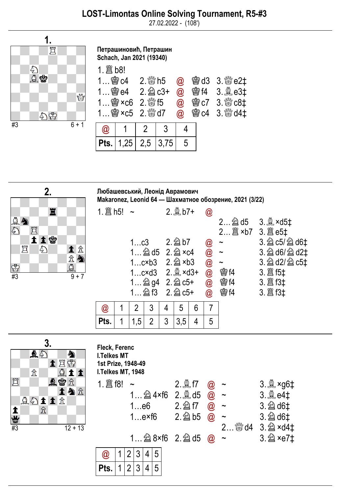27.02.2022 - (108')



Петрашиновић, Петрашин Schach, Jan 2021 (19340)

 $1.$   $B$   $h$   $o$   $l$ 

| 1 窗e4 2. 2 c3+<br>$1$ @ $\times$ c6 2. $\frac{300}{100}$ f5 |               |                                 | $1$ @ $\times$ c5 2. $\%$ d7 |  |                 | @ 窗d3 3. & e2‡<br>@ 窗f4 3. a e3‡<br>@ 窗c7 3. & c8‡<br>@ @ c4 3. tod4# |
|-------------------------------------------------------------|---------------|---------------------------------|------------------------------|--|-----------------|-----------------------------------------------------------------------|
|                                                             | $\bm{\varpi}$ |                                 |                              |  |                 |                                                                       |
|                                                             |               | <b>Pts.</b>   1,25   2,5   3,75 |                              |  | $5\phantom{.0}$ |                                                                       |

| 2.              |   |  |  |      |  |  |                 |  |  |
|-----------------|---|--|--|------|--|--|-----------------|--|--|
|                 |   |  |  |      |  |  |                 |  |  |
|                 |   |  |  | 罝    |  |  |                 |  |  |
| 日も              |   |  |  |      |  |  |                 |  |  |
|                 |   |  |  | 日本社会 |  |  |                 |  |  |
|                 | 買 |  |  |      |  |  | 土金鱼             |  |  |
|                 |   |  |  |      |  |  |                 |  |  |
| É               |   |  |  |      |  |  |                 |  |  |
| $\overline{43}$ |   |  |  |      |  |  | $\frac{1}{9+7}$ |  |  |

Любашевський, Леонід Аврамович Makaronez, Leonid 64 — Шахматное обозрение, 2021 (3/22)

| 1. $\hat{\Xi}$ h5! ~ |                 |                                 |   | $2.4$ b7+ |   | $\bm{\mathsf{\textcircled{a}}}$ |                |                |
|----------------------|-----------------|---------------------------------|---|-----------|---|---------------------------------|----------------|----------------|
|                      |                 |                                 |   |           |   |                                 | 2 2d5 3. axd5t |                |
|                      |                 |                                 |   |           |   |                                 |                |                |
|                      |                 | 1c3 2. 2 b7                     |   |           |   | $\bm{\mathsf{\textcircled{a}}}$ | $\thicksim$    | 3. 2 c5/ 2 d6‡ |
|                      |                 | 1 $\hat{2}$ d5 2. $\hat{2}$ ×c4 |   |           |   | $\bar{\textbf{0}}$              | $\tilde{}$     | 3. @ d6/ @ d2‡ |
|                      |                 | 1 $cxb3$ 2. $2$ $xb3$           |   |           |   | <b>@</b>                        | $\sim$         | 3. @ d2/ @ c5‡ |
|                      |                 | 1c×d3 2. avd3+                  |   |           |   |                                 | <b>魯f4</b>     |                |
|                      | 1 2 g4 2. 2 c5+ |                                 |   |           |   | $\circleda$                     | <b>魯f4</b>     |                |
|                      |                 | 1 2 f3 2. 2 c5+                 |   |           |   | $\circledR$                     | <b>魯f4</b>     |                |
| $\bm{\omega}$        | 2               | 3                               | 4 | 5         | 6 | 7                               |                |                |
| Pts.                 | 1,5             | 2                               | 3 | 3,5       | 4 | 5                               |                |                |
|                      |                 |                                 |   |           |   |                                 |                |                |

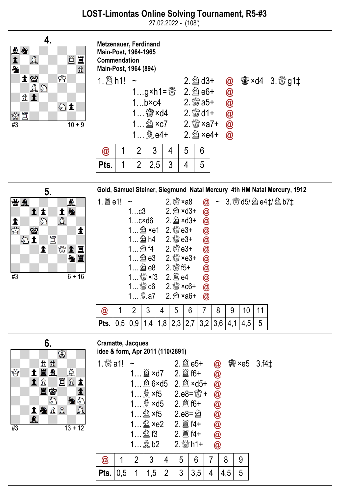27.02.2022 - (108')